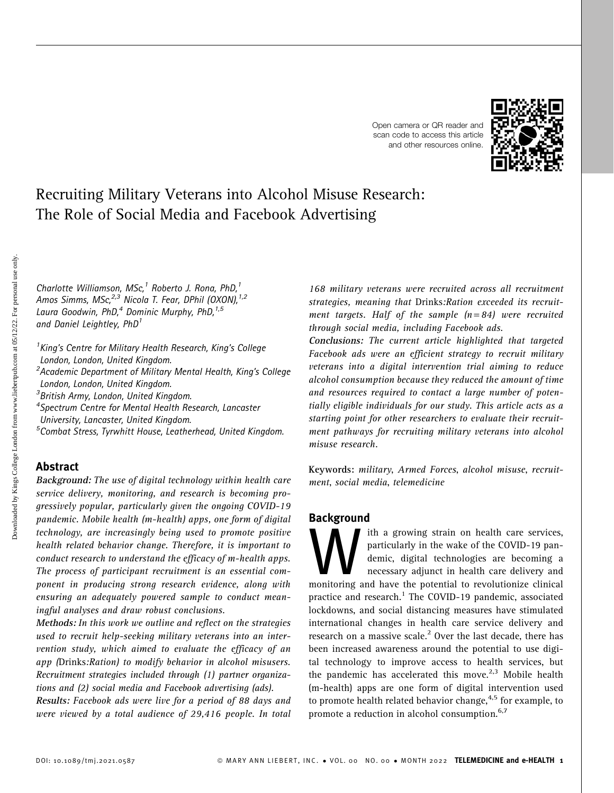



## Recruiting Military Veterans into Alcohol Misuse Research: The Role of Social Media and Facebook Advertising

Charlotte Williamson, MSc,<sup>1</sup> Roberto J. Rona, PhD,<sup>1</sup> Amos Simms, MSc,<sup>2,3</sup> Nicola T. Fear, DPhil (OXON),<sup>1,2</sup> Laura Goodwin, PhD,<sup>4</sup> Dominic Murphy, PhD,<sup>1,5</sup> and Daniel Leightley, PhD<sup>1</sup>

<sup>1</sup> King's Centre for Military Health Research, King's College London, London, United Kingdom. <sup>2</sup> Academic Department of Military Mental Health, King's College London, London, United Kingdom. 3 British Army, London, United Kingdom. 4 Spectrum Centre for Mental Health Research, Lancaster

University, Lancaster, United Kingdom.

5 Combat Stress, Tyrwhitt House, Leatherhead, United Kingdom.

## Abstract

Background: The use of digital technology within health care service delivery, monitoring, and research is becoming progressively popular, particularly given the ongoing COVID-19 pandemic. Mobile health (m-health) apps, one form of digital technology, are increasingly being used to promote positive health related behavior change. Therefore, it is important to conduct research to understand the efficacy of m-health apps. The process of participant recruitment is an essential component in producing strong research evidence, along with ensuring an adequately powered sample to conduct meaningful analyses and draw robust conclusions.

Methods: In this work we outline and reflect on the strategies used to recruit help-seeking military veterans into an intervention study, which aimed to evaluate the efficacy of an app (Drinks:Ration) to modify behavior in alcohol misusers. Recruitment strategies included through (1) partner organizations and (2) social media and Facebook advertising (ads).

Results: Facebook ads were live for a period of 88 days and were viewed by a total audience of 29,416 people. In total 168 military veterans were recruited across all recruitment strategies, meaning that Drinks:Ration exceeded its recruitment targets. Half of the sample  $(n=84)$  were recruited through social media, including Facebook ads.

Conclusions: The current article highlighted that targeted Facebook ads were an efficient strategy to recruit military veterans into a digital intervention trial aiming to reduce alcohol consumption because they reduced the amount of time and resources required to contact a large number of potentially eligible individuals for our study. This article acts as a starting point for other researchers to evaluate their recruitment pathways for recruiting military veterans into alcohol misuse research.

Keywords: military, Armed Forces, alcohol misuse, recruitment, social media, telemedicine

## Background

with a growing strain on health care services,<br>particularly in the wake of the COVID-19 pan-<br>demic, digital technologies are becoming a<br>necessary adjunct in health care delivery and<br>monitoring and have the potential to rev particularly in the wake of the COVID-19 pandemic, digital technologies are becoming a necessary adjunct in health care delivery and practice and research.<sup>1</sup> The COVID-19 pandemic, associated lockdowns, and social distancing measures have stimulated international changes in health care service delivery and research on a massive scale.<sup>2</sup> Over the last decade, there has been increased awareness around the potential to use digital technology to improve access to health services, but the pandemic has accelerated this move.<sup>2,3</sup> Mobile health (m-health) apps are one form of digital intervention used to promote health related behavior change, $4.5$  for example, to promote a reduction in alcohol consumption.<sup>6,7</sup>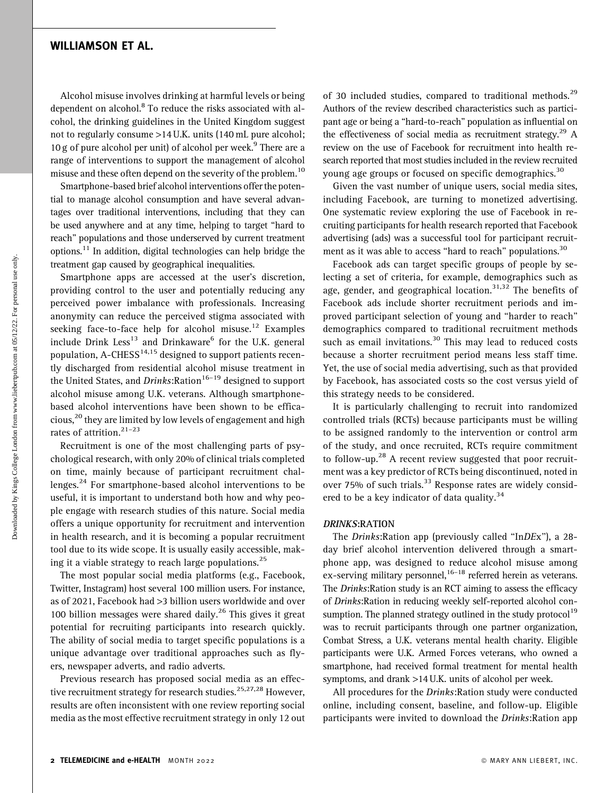Alcohol misuse involves drinking at harmful levels or being dependent on alcohol.<sup>8</sup> To reduce the risks associated with alcohol, the drinking guidelines in the United Kingdom suggest not to regularly consume >14 U.K. units (140 mL pure alcohol; 10 g of pure alcohol per unit) of alcohol per week.<sup>9</sup> There are a range of interventions to support the management of alcohol misuse and these often depend on the severity of the problem.<sup>10</sup>

Smartphone-based brief alcohol interventions offer the potential to manage alcohol consumption and have several advantages over traditional interventions, including that they can be used anywhere and at any time, helping to target ''hard to reach'' populations and those underserved by current treatment options.<sup>11</sup> In addition, digital technologies can help bridge the treatment gap caused by geographical inequalities.

Smartphone apps are accessed at the user's discretion, providing control to the user and potentially reducing any perceived power imbalance with professionals. Increasing anonymity can reduce the perceived stigma associated with seeking face-to-face help for alcohol misuse.<sup>12</sup> Examples include Drink Less<sup>13</sup> and Drinkaware<sup>6</sup> for the U.K. general population, A-CHESS<sup>14,15</sup> designed to support patients recently discharged from residential alcohol misuse treatment in the United States, and Drinks: Ration<sup>16-19</sup> designed to support alcohol misuse among U.K. veterans. Although smartphonebased alcohol interventions have been shown to be efficacious,<sup>20</sup> they are limited by low levels of engagement and high rates of attrition. $21-23$ 

Recruitment is one of the most challenging parts of psychological research, with only 20% of clinical trials completed on time, mainly because of participant recruitment challenges.<sup>24</sup> For smartphone-based alcohol interventions to be useful, it is important to understand both how and why people engage with research studies of this nature. Social media offers a unique opportunity for recruitment and intervention in health research, and it is becoming a popular recruitment tool due to its wide scope. It is usually easily accessible, making it a viable strategy to reach large populations.<sup>25</sup>

The most popular social media platforms (e.g., Facebook, Twitter, Instagram) host several 100 million users. For instance, as of 2021, Facebook had >3 billion users worldwide and over 100 billion messages were shared daily.<sup>26</sup> This gives it great potential for recruiting participants into research quickly. The ability of social media to target specific populations is a unique advantage over traditional approaches such as flyers, newspaper adverts, and radio adverts.

Previous research has proposed social media as an effective recruitment strategy for research studies.<sup>25,27,28</sup> However, results are often inconsistent with one review reporting social media as the most effective recruitment strategy in only 12 out

of 30 included studies, compared to traditional methods.<sup>29</sup> Authors of the review described characteristics such as participant age or being a ''hard-to-reach'' population as influential on the effectiveness of social media as recruitment strategy.<sup>29</sup> A review on the use of Facebook for recruitment into health research reported that most studies included in the review recruited young age groups or focused on specific demographics.<sup>30</sup>

Given the vast number of unique users, social media sites, including Facebook, are turning to monetized advertising. One systematic review exploring the use of Facebook in recruiting participants for health research reported that Facebook advertising (ads) was a successful tool for participant recruitment as it was able to access "hard to reach" populations.<sup>30</sup>

Facebook ads can target specific groups of people by selecting a set of criteria, for example, demographics such as age, gender, and geographical location.<sup>31,32</sup> The benefits of Facebook ads include shorter recruitment periods and improved participant selection of young and ''harder to reach'' demographics compared to traditional recruitment methods such as email invitations.<sup>30</sup> This may lead to reduced costs because a shorter recruitment period means less staff time. Yet, the use of social media advertising, such as that provided by Facebook, has associated costs so the cost versus yield of this strategy needs to be considered.

It is particularly challenging to recruit into randomized controlled trials (RCTs) because participants must be willing to be assigned randomly to the intervention or control arm of the study, and once recruited, RCTs require commitment to follow-up.<sup>28</sup> A recent review suggested that poor recruitment was a key predictor of RCTs being discontinued, noted in over 75% of such trials.<sup>33</sup> Response rates are widely considered to be a key indicator of data quality. $34$ 

#### DRINKS:RATION

The Drinks:Ration app (previously called ''InDEx''), a 28 day brief alcohol intervention delivered through a smartphone app, was designed to reduce alcohol misuse among ex-serving military personnel,  $16-18$  referred herein as veterans. The Drinks: Ration study is an RCT aiming to assess the efficacy of Drinks:Ration in reducing weekly self-reported alcohol consumption. The planned strategy outlined in the study protocol<sup>19</sup> was to recruit participants through one partner organization, Combat Stress, a U.K. veterans mental health charity. Eligible participants were U.K. Armed Forces veterans, who owned a smartphone, had received formal treatment for mental health symptoms, and drank >14 U.K. units of alcohol per week.

All procedures for the Drinks:Ration study were conducted online, including consent, baseline, and follow-up. Eligible participants were invited to download the *Drinks*: Ration app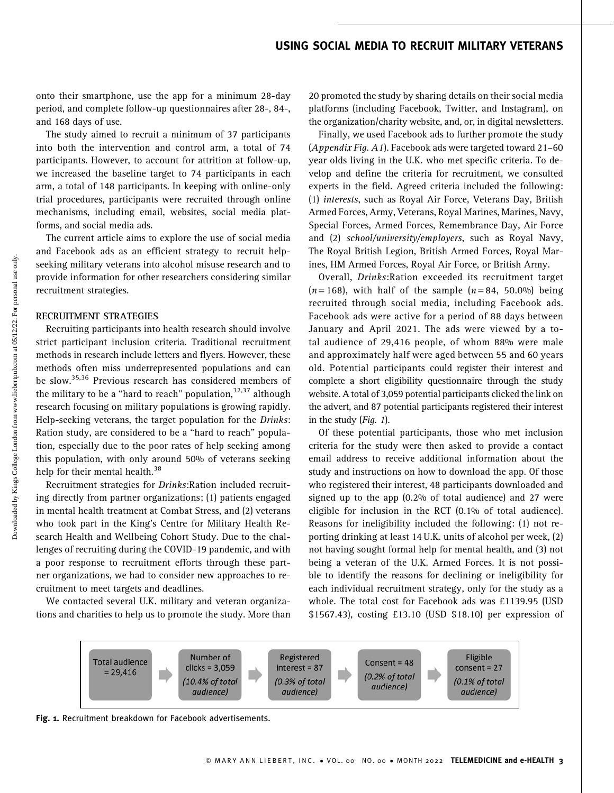## USING SOCIAL MEDIA TO RECRUIT MILITARY VETERANS

onto their smartphone, use the app for a minimum 28-day period, and complete follow-up questionnaires after 28-, 84-, and 168 days of use.

The study aimed to recruit a minimum of 37 participants into both the intervention and control arm, a total of 74 participants. However, to account for attrition at follow-up, we increased the baseline target to 74 participants in each arm, a total of 148 participants. In keeping with online-only trial procedures, participants were recruited through online mechanisms, including email, websites, social media platforms, and social media ads.

The current article aims to explore the use of social media and Facebook ads as an efficient strategy to recruit helpseeking military veterans into alcohol misuse research and to provide information for other researchers considering similar recruitment strategies.

#### RECRUITMENT STRATEGIES

Recruiting participants into health research should involve strict participant inclusion criteria. Traditional recruitment methods in research include letters and flyers. However, these methods often miss underrepresented populations and can be slow.<sup>35,36</sup> Previous research has considered members of the military to be a "hard to reach" population,  $32,37$  although research focusing on military populations is growing rapidly. Help-seeking veterans, the target population for the Drinks: Ration study, are considered to be a ''hard to reach'' population, especially due to the poor rates of help seeking among this population, with only around 50% of veterans seeking help for their mental health.<sup>38</sup>

Recruitment strategies for Drinks:Ration included recruiting directly from partner organizations; (1) patients engaged in mental health treatment at Combat Stress, and (2) veterans who took part in the King's Centre for Military Health Research Health and Wellbeing Cohort Study. Due to the challenges of recruiting during the COVID-19 pandemic, and with a poor response to recruitment efforts through these partner organizations, we had to consider new approaches to recruitment to meet targets and deadlines.

We contacted several U.K. military and veteran organizations and charities to help us to promote the study. More than 20 promoted the study by sharing details on their social media platforms (including Facebook, Twitter, and Instagram), on the organization/charity website, and, or, in digital newsletters.

Finally, we used Facebook ads to further promote the study (Appendix Fig. A1). Facebook ads were targeted toward 21–60 year olds living in the U.K. who met specific criteria. To develop and define the criteria for recruitment, we consulted experts in the field. Agreed criteria included the following: (1) interests, such as Royal Air Force, Veterans Day, British Armed Forces, Army, Veterans, Royal Marines, Marines, Navy, Special Forces, Armed Forces, Remembrance Day, Air Force and (2) school/university/employers, such as Royal Navy, The Royal British Legion, British Armed Forces, Royal Marines, HM Armed Forces, Royal Air Force, or British Army.

Overall, Drinks:Ration exceeded its recruitment target  $(n=168)$ , with half of the sample  $(n=84, 50.0\%)$  being recruited through social media, including Facebook ads. Facebook ads were active for a period of 88 days between January and April 2021. The ads were viewed by a total audience of 29,416 people, of whom 88% were male and approximately half were aged between 55 and 60 years old. Potential participants could register their interest and complete a short eligibility questionnaire through the study website. A total of 3,059 potential participants clicked the link on the advert, and 87 potential participants registered their interest in the study  $(Fiq, 1)$ .

Of these potential participants, those who met inclusion criteria for the study were then asked to provide a contact email address to receive additional information about the study and instructions on how to download the app. Of those who registered their interest, 48 participants downloaded and signed up to the app (0.2% of total audience) and 27 were eligible for inclusion in the RCT (0.1% of total audience). Reasons for ineligibility included the following: (1) not reporting drinking at least 14 U.K. units of alcohol per week, (2) not having sought formal help for mental health, and (3) not being a veteran of the U.K. Armed Forces. It is not possible to identify the reasons for declining or ineligibility for each individual recruitment strategy, only for the study as a whole. The total cost for Facebook ads was £1139.95 (USD \$1567.43), costing £13.10 (USD \$18.10) per expression of



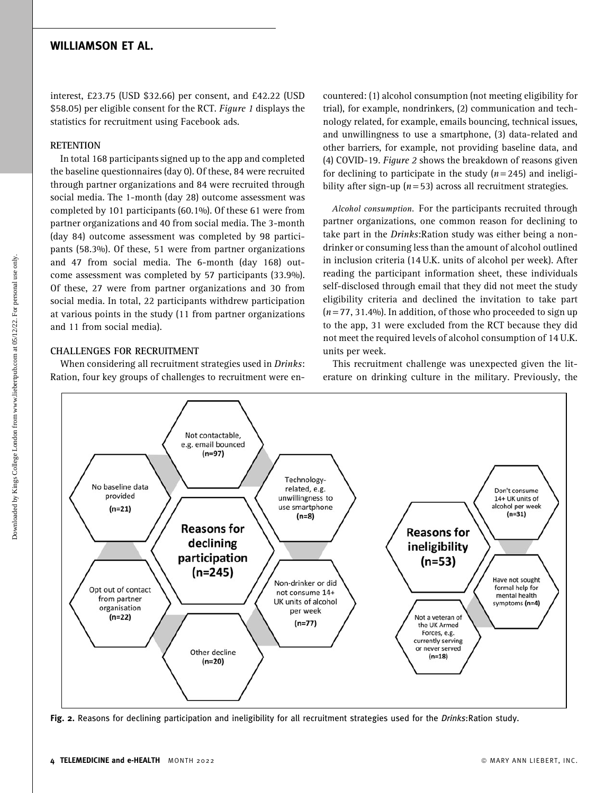interest, £23.75 (USD \$32.66) per consent, and £42.22 (USD \$58.05) per eligible consent for the RCT. Figure 1 displays the statistics for recruitment using Facebook ads.

#### **RETENTION**

In total 168 participants signed up to the app and completed the baseline questionnaires (day 0). Of these, 84 were recruited through partner organizations and 84 were recruited through social media. The 1-month (day 28) outcome assessment was completed by 101 participants (60.1%). Of these 61 were from partner organizations and 40 from social media. The 3-month (day 84) outcome assessment was completed by 98 participants (58.3%). Of these, 51 were from partner organizations and 47 from social media. The 6-month (day 168) outcome assessment was completed by 57 participants (33.9%). Of these, 27 were from partner organizations and 30 from social media. In total, 22 participants withdrew participation at various points in the study (11 from partner organizations and 11 from social media).

#### CHALLENGES FOR RECRUITMENT

When considering all recruitment strategies used in Drinks: Ration, four key groups of challenges to recruitment were encountered: (1) alcohol consumption (not meeting eligibility for trial), for example, nondrinkers, (2) communication and technology related, for example, emails bouncing, technical issues, and unwillingness to use a smartphone, (3) data-related and other barriers, for example, not providing baseline data, and (4) COVID-19. Figure 2 shows the breakdown of reasons given for declining to participate in the study  $(n=245)$  and ineligibility after sign-up ( $n = 53$ ) across all recruitment strategies.

Alcohol consumption. For the participants recruited through partner organizations, one common reason for declining to take part in the Drinks: Ration study was either being a nondrinker or consuming less than the amount of alcohol outlined in inclusion criteria (14 U.K. units of alcohol per week). After reading the participant information sheet, these individuals self-disclosed through email that they did not meet the study eligibility criteria and declined the invitation to take part  $(n = 77, 31.4\%)$ . In addition, of those who proceeded to sign up to the app, 31 were excluded from the RCT because they did not meet the required levels of alcohol consumption of 14 U.K. units per week.

This recruitment challenge was unexpected given the literature on drinking culture in the military. Previously, the



Fig. 2. Reasons for declining participation and ineligibility for all recruitment strategies used for the Drinks:Ration study.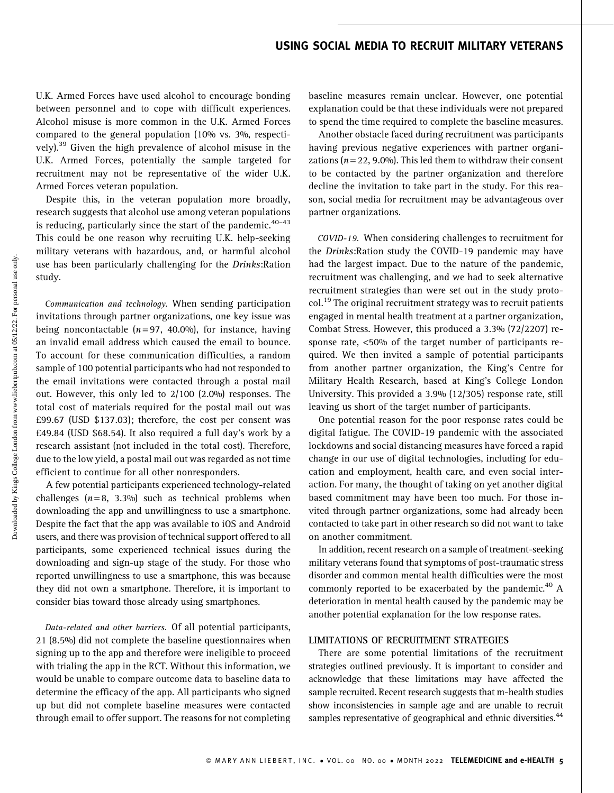## USING SOCIAL MEDIA TO RECRUIT MILITARY VETERANS

U.K. Armed Forces have used alcohol to encourage bonding between personnel and to cope with difficult experiences. Alcohol misuse is more common in the U.K. Armed Forces compared to the general population (10% vs. 3%, respectively).<sup>39</sup> Given the high prevalence of alcohol misuse in the U.K. Armed Forces, potentially the sample targeted for recruitment may not be representative of the wider U.K. Armed Forces veteran population.

Despite this, in the veteran population more broadly, research suggests that alcohol use among veteran populations is reducing, particularly since the start of the pandemic. $40-43$ This could be one reason why recruiting U.K. help-seeking military veterans with hazardous, and, or harmful alcohol use has been particularly challenging for the Drinks:Ration study.

Communication and technology. When sending participation invitations through partner organizations, one key issue was being noncontactable  $(n=97, 40.0\%)$ , for instance, having an invalid email address which caused the email to bounce. To account for these communication difficulties, a random sample of 100 potential participants who had not responded to the email invitations were contacted through a postal mail out. However, this only led to 2/100 (2.0%) responses. The total cost of materials required for the postal mail out was £99.67 (USD \$137.03); therefore, the cost per consent was £49.84 (USD \$68.54). It also required a full day's work by a research assistant (not included in the total cost). Therefore, due to the low yield, a postal mail out was regarded as not time efficient to continue for all other nonresponders.

A few potential participants experienced technology-related challenges  $(n=8, 3.3\%)$  such as technical problems when downloading the app and unwillingness to use a smartphone. Despite the fact that the app was available to iOS and Android users, and there was provision of technical support offered to all participants, some experienced technical issues during the downloading and sign-up stage of the study. For those who reported unwillingness to use a smartphone, this was because they did not own a smartphone. Therefore, it is important to consider bias toward those already using smartphones.

Data-related and other barriers. Of all potential participants, 21 (8.5%) did not complete the baseline questionnaires when signing up to the app and therefore were ineligible to proceed with trialing the app in the RCT. Without this information, we would be unable to compare outcome data to baseline data to determine the efficacy of the app. All participants who signed up but did not complete baseline measures were contacted through email to offer support. The reasons for not completing baseline measures remain unclear. However, one potential explanation could be that these individuals were not prepared to spend the time required to complete the baseline measures.

Another obstacle faced during recruitment was participants having previous negative experiences with partner organizations ( $n = 22, 9.0\%$ ). This led them to withdraw their consent to be contacted by the partner organization and therefore decline the invitation to take part in the study. For this reason, social media for recruitment may be advantageous over partner organizations.

COVID-19. When considering challenges to recruitment for the Drinks: Ration study the COVID-19 pandemic may have had the largest impact. Due to the nature of the pandemic, recruitment was challenging, and we had to seek alternative recruitment strategies than were set out in the study protocol.<sup>19</sup> The original recruitment strategy was to recruit patients engaged in mental health treatment at a partner organization, Combat Stress. However, this produced a 3.3% (72/2207) response rate, <50% of the target number of participants required. We then invited a sample of potential participants from another partner organization, the King's Centre for Military Health Research, based at King's College London University. This provided a 3.9% (12/305) response rate, still leaving us short of the target number of participants.

One potential reason for the poor response rates could be digital fatigue. The COVID-19 pandemic with the associated lockdowns and social distancing measures have forced a rapid change in our use of digital technologies, including for education and employment, health care, and even social interaction. For many, the thought of taking on yet another digital based commitment may have been too much. For those invited through partner organizations, some had already been contacted to take part in other research so did not want to take on another commitment.

In addition, recent research on a sample of treatment-seeking military veterans found that symptoms of post-traumatic stress disorder and common mental health difficulties were the most commonly reported to be exacerbated by the pandemic.<sup>40</sup> A deterioration in mental health caused by the pandemic may be another potential explanation for the low response rates.

#### LIMITATIONS OF RECRUITMENT STRATEGIES

There are some potential limitations of the recruitment strategies outlined previously. It is important to consider and acknowledge that these limitations may have affected the sample recruited. Recent research suggests that m-health studies show inconsistencies in sample age and are unable to recruit samples representative of geographical and ethnic diversities.<sup>44</sup>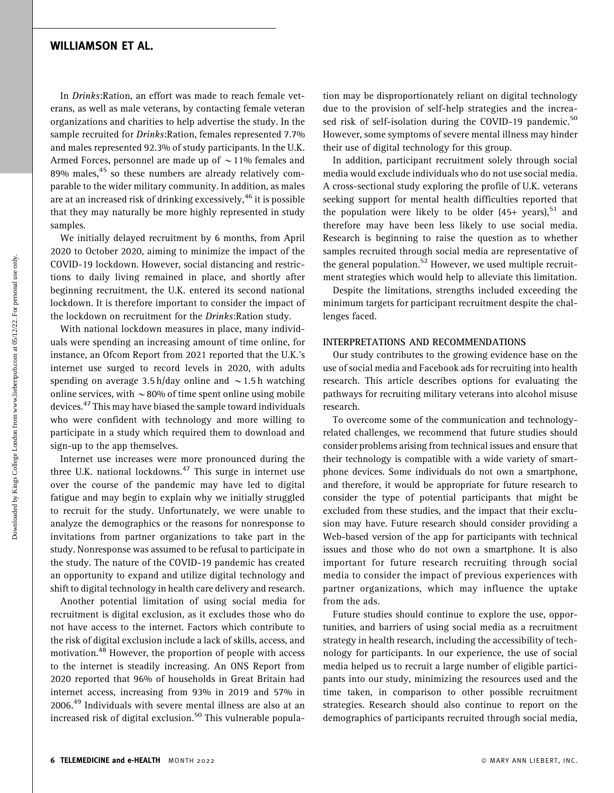In Drinks:Ration, an effort was made to reach female veterans, as well as male veterans, by contacting female veteran organizations and charities to help advertise the study. In the sample recruited for Drinks:Ration, females represented 7.7% and males represented 92.3% of study participants. In the U.K. Armed Forces, personnel are made up of  $\sim$  11% females and 89% males, $45$  so these numbers are already relatively comparable to the wider military community. In addition, as males are at an increased risk of drinking excessively,  $46$  it is possible that they may naturally be more highly represented in study samples.

We initially delayed recruitment by 6 months, from April 2020 to October 2020, aiming to minimize the impact of the COVID-19 lockdown. However, social distancing and restrictions to daily living remained in place, and shortly after beginning recruitment, the U.K. entered its second national lockdown. It is therefore important to consider the impact of the lockdown on recruitment for the Drinks:Ration study.

With national lockdown measures in place, many individuals were spending an increasing amount of time online, for instance, an Ofcom Report from 2021 reported that the U.K.'s internet use surged to record levels in 2020, with adults spending on average 3.5 h/day online and  $\sim$  1.5 h watching online services, with  $\sim$  80% of time spent online using mobile devices.<sup>47</sup> This may have biased the sample toward individuals who were confident with technology and more willing to participate in a study which required them to download and sign-up to the app themselves.

Internet use increases were more pronounced during the three U.K. national lockdowns. $47$  This surge in internet use over the course of the pandemic may have led to digital fatigue and may begin to explain why we initially struggled to recruit for the study. Unfortunately, we were unable to analyze the demographics or the reasons for nonresponse to invitations from partner organizations to take part in the study. Nonresponse was assumed to be refusal to participate in the study. The nature of the COVID-19 pandemic has created an opportunity to expand and utilize digital technology and shift to digital technology in health care delivery and research.

Another potential limitation of using social media for recruitment is digital exclusion, as it excludes those who do not have access to the internet. Factors which contribute to the risk of digital exclusion include a lack of skills, access, and motivation.<sup>48</sup> However, the proportion of people with access to the internet is steadily increasing. An ONS Report from 2020 reported that 96% of households in Great Britain had internet access, increasing from 93% in 2019 and 57% in 2006.<sup>49</sup> Individuals with severe mental illness are also at an increased risk of digital exclusion.<sup>50</sup> This vulnerable population may be disproportionately reliant on digital technology due to the provision of self-help strategies and the increased risk of self-isolation during the COVID-19 pandemic.<sup>50</sup> However, some symptoms of severe mental illness may hinder their use of digital technology for this group.

In addition, participant recruitment solely through social media would exclude individuals who do not use social media. A cross-sectional study exploring the profile of U.K. veterans seeking support for mental health difficulties reported that the population were likely to be older  $(45+)$  years),<sup>51</sup> and therefore may have been less likely to use social media. Research is beginning to raise the question as to whether samples recruited through social media are representative of the general population.<sup>52</sup> However, we used multiple recruitment strategies which would help to alleviate this limitation.

Despite the limitations, strengths included exceeding the minimum targets for participant recruitment despite the challenges faced.

#### INTERPRETATIONS AND RECOMMENDATIONS

Our study contributes to the growing evidence base on the use of social media and Facebook ads for recruiting into health research. This article describes options for evaluating the pathways for recruiting military veterans into alcohol misuse research.

To overcome some of the communication and technologyrelated challenges, we recommend that future studies should consider problems arising from technical issues and ensure that their technology is compatible with a wide variety of smartphone devices. Some individuals do not own a smartphone, and therefore, it would be appropriate for future research to consider the type of potential participants that might be excluded from these studies, and the impact that their exclusion may have. Future research should consider providing a Web-based version of the app for participants with technical issues and those who do not own a smartphone. It is also important for future research recruiting through social media to consider the impact of previous experiences with partner organizations, which may influence the uptake from the ads.

Future studies should continue to explore the use, opportunities, and barriers of using social media as a recruitment strategy in health research, including the accessibility of technology for participants. In our experience, the use of social media helped us to recruit a large number of eligible participants into our study, minimizing the resources used and the time taken, in comparison to other possible recruitment strategies. Research should also continue to report on the demographics of participants recruited through social media,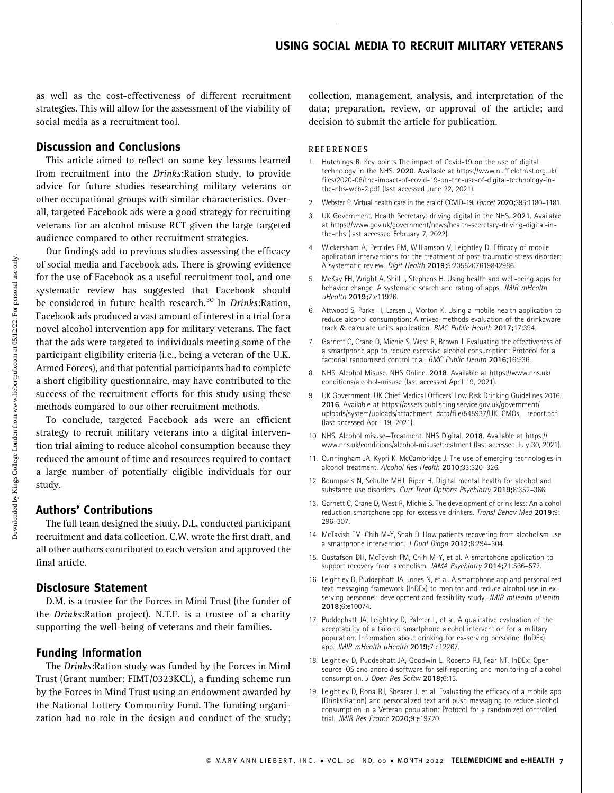## USING SOCIAL MEDIA TO RECRUIT MILITARY VETERANS

as well as the cost-effectiveness of different recruitment strategies. This will allow for the assessment of the viability of social media as a recruitment tool.

## Discussion and Conclusions

This article aimed to reflect on some key lessons learned from recruitment into the Drinks:Ration study, to provide advice for future studies researching military veterans or other occupational groups with similar characteristics. Overall, targeted Facebook ads were a good strategy for recruiting veterans for an alcohol misuse RCT given the large targeted audience compared to other recruitment strategies.

Our findings add to previous studies assessing the efficacy of social media and Facebook ads. There is growing evidence for the use of Facebook as a useful recruitment tool, and one systematic review has suggested that Facebook should be considered in future health research.<sup>30</sup> In Drinks:Ration, Facebook ads produced a vast amount of interest in a trial for a novel alcohol intervention app for military veterans. The fact that the ads were targeted to individuals meeting some of the participant eligibility criteria (i.e., being a veteran of the U.K. Armed Forces), and that potential participants had to complete a short eligibility questionnaire, may have contributed to the success of the recruitment efforts for this study using these methods compared to our other recruitment methods.

To conclude, targeted Facebook ads were an efficient strategy to recruit military veterans into a digital intervention trial aiming to reduce alcohol consumption because they reduced the amount of time and resources required to contact a large number of potentially eligible individuals for our study.

#### Authors' Contributions

The full team designed the study. D.L. conducted participant recruitment and data collection. C.W. wrote the first draft, and all other authors contributed to each version and approved the final article.

#### Disclosure Statement

D.M. is a trustee for the Forces in Mind Trust (the funder of the Drinks:Ration project). N.T.F. is a trustee of a charity supporting the well-being of veterans and their families.

#### Funding Information

The Drinks:Ration study was funded by the Forces in Mind Trust (Grant number: FIMT/0323KCL), a funding scheme run by the Forces in Mind Trust using an endowment awarded by the National Lottery Community Fund. The funding organization had no role in the design and conduct of the study; collection, management, analysis, and interpretation of the data; preparation, review, or approval of the article; and decision to submit the article for publication.

#### REFERENCES

- 1. Hutchings R. Key points The impact of Covid-19 on the use of digital technology in the NHS. 2020. Available at [https://www.nuffieldtrust.org.uk/](https://www.nuffieldtrust.org.uk/files/2020-08/the-impact-of-covid-19-on-the-use-of-digital-technology-in-the-nhs-web-2.pdf) [files/2020-08/the-impact-of-covid-19-on-the-use-of-digital-technology-in](https://www.nuffieldtrust.org.uk/files/2020-08/the-impact-of-covid-19-on-the-use-of-digital-technology-in-the-nhs-web-2.pdf)[the-nhs-web-2.pdf](https://www.nuffieldtrust.org.uk/files/2020-08/the-impact-of-covid-19-on-the-use-of-digital-technology-in-the-nhs-web-2.pdf) (last accessed June 22, 2021).
- 2. Webster P. Virtual health care in the era of COVID-19. Lancet 2020;395:1180–1181.
- 3. UK Government. Health Secretary: driving digital in the NHS. 2021. Available at [https://www.gov.uk/government/news/health-secretary-driving-digital-in](https://www.gov.uk/government/news/health-secretary-driving-digital-in-the-nhs)[the-nhs](https://www.gov.uk/government/news/health-secretary-driving-digital-in-the-nhs) (last accessed February 7, 2022).
- 4. Wickersham A, Petrides PM, Williamson V, Leightley D. Efficacy of mobile application interventions for the treatment of post-traumatic stress disorder: A systematic review. Digit Health 2019;5:2055207619842986.
- 5. McKay FH, Wright A, Shill J, Stephens H. Using health and well-being apps for behavior change: A systematic search and rating of apps. JMIR mHealth uHealth 2019;7:e11926.
- 6. Attwood S, Parke H, Larsen J, Morton K. Using a mobile health application to reduce alcohol consumption: A mixed-methods evaluation of the drinkaware track & calculate units application. BMC Public Health 2017;17:394.
- 7. Garnett C, Crane D, Michie S, West R, Brown J. Evaluating the effectiveness of a smartphone app to reduce excessive alcohol consumption: Protocol for a factorial randomised control trial. BMC Public Health 2016;16:536.
- 8. NHS. Alcohol Misuse. NHS Online. 2018. Available at [https://www.nhs.uk/](https://www.nhs.uk/conditions/alcohol-misuse) [conditions/alcohol-misuse](https://www.nhs.uk/conditions/alcohol-misuse) (last accessed April 19, 2021).
- 9. UK Government. UK Chief Medical Officers' Low Risk Drinking Guidelines 2016. 2016. Available at [https://assets.publishing.service.gov.uk/government/](https://assets.publishing.service.gov.uk/government/uploads/system/uploads/attachment_data/file/545937/UK_CMOs__report.pdf) [uploads/system/uploads/attachment\\_data/file/545937/UK\\_CMOs\\_\\_report.pdf](https://assets.publishing.service.gov.uk/government/uploads/system/uploads/attachment_data/file/545937/UK_CMOs__report.pdf) (last accessed April 19, 2021).
- 10. NHS. Alcohol misuse—Treatment. NHS Digital. 2018. Available at [https://](https://www.nhs.uk/conditions/alcohol-misuse/treatment) [www.nhs.uk/conditions/alcohol-misuse/treatment](https://www.nhs.uk/conditions/alcohol-misuse/treatment) (last accessed July 30, 2021).
- 11. Cunningham JA, Kypri K, McCambridge J. The use of emerging technologies in alcohol treatment. Alcohol Res Health 2010;33:320–326.
- 12. Boumparis N, Schulte MHJ, Riper H. Digital mental health for alcohol and substance use disorders. Curr Treat Options Psychiatry 2019;6:352–366.
- 13. Garnett C, Crane D, West R, Michie S. The development of drink less: An alcohol reduction smartphone app for excessive drinkers. Transl Behav Med 2019;9: 296–307.
- 14. McTavish FM, Chih M-Y, Shah D. How patients recovering from alcoholism use a smartphone intervention. J Dual Diagn 2012;8:294–304.
- 15. Gustafson DH, McTavish FM, Chih M-Y, et al. A smartphone application to support recovery from alcoholism. JAMA Psychiatry 2014;71:566–572.
- 16. Leightley D, Puddephatt JA, Jones N, et al. A smartphone app and personalized text messaging framework (InDEx) to monitor and reduce alcohol use in exserving personnel: development and feasibility study. JMIR mHealth uHealth 2018;6:e10074.
- 17. Puddephatt JA, Leightley D, Palmer L, et al. A qualitative evaluation of the acceptability of a tailored smartphone alcohol intervention for a military population: Information about drinking for ex-serving personnel (InDEx) app. JMIR mHealth uHealth 2019;7:e12267.
- 18. Leightley D, Puddephatt JA, Goodwin L, Roberto RJ, Fear NT. InDEx: Open source iOS and android software for self-reporting and monitoring of alcohol consumption. J Open Res Softw 2018;6:13.
- 19. Leightley D, Rona RJ, Shearer J, et al. Evaluating the efficacy of a mobile app (Drinks:Ration) and personalized text and push messaging to reduce alcohol consumption in a Veteran population: Protocol for a randomized controlled trial. JMIR Res Protoc 2020;9:e19720.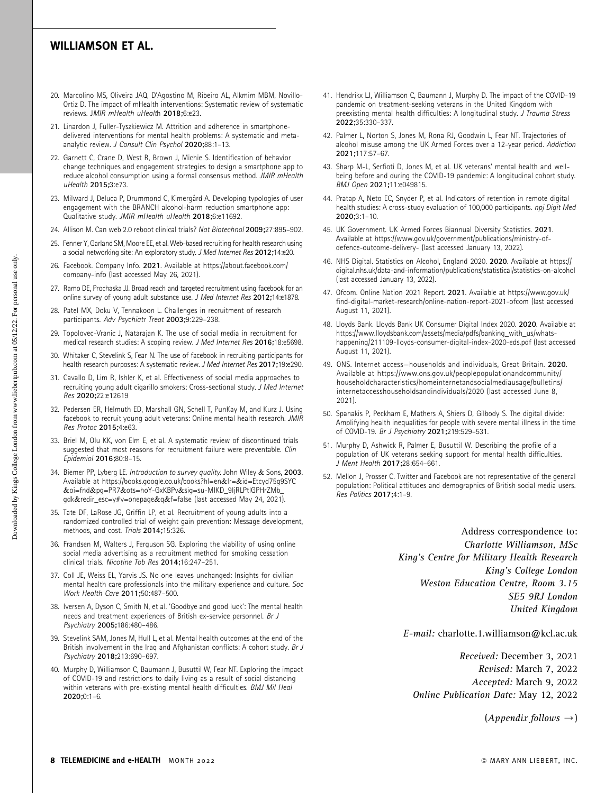- 20. Marcolino MS, Oliveira JAQ, D'Agostino M, Ribeiro AL, Alkmim MBM, Novillo-Ortiz D. The impact of mHealth interventions: Systematic review of systematic reviews. JMIR mHealth uHealth 2018;6:e23.
- 21. Linardon J, Fuller-Tyszkiewicz M. Attrition and adherence in smartphonedelivered interventions for mental health problems: A systematic and metaanalytic review. J Consult Clin Psychol 2020;88:1-13.
- 22. Garnett C, Crane D, West R, Brown J, Michie S. Identification of behavior change techniques and engagement strategies to design a smartphone app to reduce alcohol consumption using a formal consensus method. JMIR mHealth uHealth 2015;3:e73.
- 23. Milward J, Deluca P, Drummond C, Kimergård A. Developing typologies of user engagement with the BRANCH alcohol-harm reduction smartphone app: Qualitative study. JMIR mHealth uHealth 2018;6:e11692.
- 24. Allison M. Can web 2.0 reboot clinical trials? Nat Biotechnol 2009;27:895–902.
- 25. Fenner Y, Garland SM, Moore EE, et al. Web-based recruiting for health research using a social networking site: An exploratory study. J Med Internet Res 2012;14:e20.
- 26. Facebook. Company Info. 2021. Available at [https://about.facebook.com/](https://about.facebook.com/company-info) [company-info](https://about.facebook.com/company-info) (last accessed May 26, 2021).
- 27. Ramo DE, Prochaska JJ. Broad reach and targeted recruitment using facebook for an online survey of young adult substance use. J Med Internet Res 2012;14:e1878.
- 28. Patel MX, Doku V, Tennakoon L. Challenges in recruitment of research participants. Adv Psychiatr Treat 2003;9:229–238.
- 29. Topolovec-Vranic J, Natarajan K. The use of social media in recruitment for medical research studies: A scoping review. J Med Internet Res 2016;18:e5698.
- 30. Whitaker C, Stevelink S, Fear N. The use of facebook in recruiting participants for health research purposes: A systematic review. J Med Internet Res 2017;19:e290.
- 31. Cavallo D, Lim R, Ishler K, et al. Effectiveness of social media approaches to recruiting young adult cigarillo smokers: Cross-sectional study. J Med Internet Res 2020;22:e12619
- 32. Pedersen ER, Helmuth ED, Marshall GN, Schell T, PunKay M, and Kurz J. Using facebook to recruit young adult veterans: Online mental health research. JMIR Res Protoc 2015;4:e63.
- 33. Briel M, Olu KK, von Elm E, et al. A systematic review of discontinued trials suggested that most reasons for recruitment failure were preventable. Clin Epidemiol 2016;80:8–15.
- 34. Biemer PP, Lyberg LE. Introduction to survey quality. John Wiley & Sons, 2003. Available at [https://books.google.co.uk/books?hl=en](https://books.google.co.uk/books?hl=en&lr=&id=Etcyd75g9SYC&oi=fnd&pg=PR7&ots=hoY-GxKBPv&sig=su-MIKD_9IjRLPtlGPHrZMb_gdk&redir_esc=y#v=onepage&q&f=false)&[lr=](https://books.google.co.uk/books?hl=en&lr=&id=Etcyd75g9SYC&oi=fnd&pg=PR7&ots=hoY-GxKBPv&sig=su-MIKD_9IjRLPtlGPHrZMb_gdk&redir_esc=y#v=onepage&q&f=false)&[id=Etcyd75g9SYC](https://books.google.co.uk/books?hl=en&lr=&id=Etcyd75g9SYC&oi=fnd&pg=PR7&ots=hoY-GxKBPv&sig=su-MIKD_9IjRLPtlGPHrZMb_gdk&redir_esc=y#v=onepage&q&f=false) &[oi=fnd](https://books.google.co.uk/books?hl=en&lr=&id=Etcyd75g9SYC&oi=fnd&pg=PR7&ots=hoY-GxKBPv&sig=su-MIKD_9IjRLPtlGPHrZMb_gdk&redir_esc=y#v=onepage&q&f=false)&[pg=PR7](https://books.google.co.uk/books?hl=en&lr=&id=Etcyd75g9SYC&oi=fnd&pg=PR7&ots=hoY-GxKBPv&sig=su-MIKD_9IjRLPtlGPHrZMb_gdk&redir_esc=y#v=onepage&q&f=false)&[ots=hoY-GxKBPv](https://books.google.co.uk/books?hl=en&lr=&id=Etcyd75g9SYC&oi=fnd&pg=PR7&ots=hoY-GxKBPv&sig=su-MIKD_9IjRLPtlGPHrZMb_gdk&redir_esc=y#v=onepage&q&f=false)&[sig=su-MIKD\\_9IjRLPtlGPHrZMb\\_](https://books.google.co.uk/books?hl=en&lr=&id=Etcyd75g9SYC&oi=fnd&pg=PR7&ots=hoY-GxKBPv&sig=su-MIKD_9IjRLPtlGPHrZMb_gdk&redir_esc=y#v=onepage&q&f=false) [gdk](https://books.google.co.uk/books?hl=en&lr=&id=Etcyd75g9SYC&oi=fnd&pg=PR7&ots=hoY-GxKBPv&sig=su-MIKD_9IjRLPtlGPHrZMb_gdk&redir_esc=y#v=onepage&q&f=false)&[redir\\_esc=y#v=onepage](https://books.google.co.uk/books?hl=en&lr=&id=Etcyd75g9SYC&oi=fnd&pg=PR7&ots=hoY-GxKBPv&sig=su-MIKD_9IjRLPtlGPHrZMb_gdk&redir_esc=y#v=onepage&q&f=false)&[q](https://books.google.co.uk/books?hl=en&lr=&id=Etcyd75g9SYC&oi=fnd&pg=PR7&ots=hoY-GxKBPv&sig=su-MIKD_9IjRLPtlGPHrZMb_gdk&redir_esc=y#v=onepage&q&f=false)&[f=false](https://books.google.co.uk/books?hl=en&lr=&id=Etcyd75g9SYC&oi=fnd&pg=PR7&ots=hoY-GxKBPv&sig=su-MIKD_9IjRLPtlGPHrZMb_gdk&redir_esc=y#v=onepage&q&f=false) (last accessed May 24, 2021).
- 35. Tate DF, LaRose JG, Griffin LP, et al. Recruitment of young adults into a randomized controlled trial of weight gain prevention: Message development, methods, and cost. Trials 2014;15:326.
- 36. Frandsen M, Walters J, Ferguson SG. Exploring the viability of using online social media advertising as a recruitment method for smoking cessation clinical trials. Nicotine Tob Res 2014;16:247–251.
- 37. Coll JE, Weiss EL, Yarvis JS. No one leaves unchanged: Insights for civilian mental health care professionals into the military experience and culture. Soc Work Health Care 2011;50:487–500.
- 38. Iversen A, Dyson C, Smith N, et al. 'Goodbye and good luck': The mental health needs and treatment experiences of British ex-service personnel. Br J Psychiatry 2005;186:480–486.
- 39. Stevelink SAM, Jones M, Hull L, et al. Mental health outcomes at the end of the British involvement in the Iraq and Afghanistan conflicts: A cohort study. Br J Psychiatry 2018;213:690–697.
- 40. Murphy D, Williamson C, Baumann J, Busuttil W, Fear NT. Exploring the impact of COVID-19 and restrictions to daily living as a result of social distancing within veterans with pre-existing mental health difficulties. BMJ Mil Heal 2020;0:1–6.
- 41. Hendrikx LJ, Williamson C, Baumann J, Murphy D. The impact of the COVID-19 pandemic on treatment-seeking veterans in the United Kingdom with preexisting mental health difficulties: A longitudinal study. J Trauma Stress 2022;35:330–337.
- 42. Palmer L, Norton S, Jones M, Rona RJ, Goodwin L, Fear NT. Trajectories of alcohol misuse among the UK Armed Forces over a 12-year period. Addiction 2021;117:57–67.
- 43. Sharp M-L, Serfioti D, Jones M, et al. UK veterans' mental health and wellbeing before and during the COVID-19 pandemic: A longitudinal cohort study. BMJ Open 2021;11:e049815.
- 44. Pratap A, Neto EC, Snyder P, et al. Indicators of retention in remote digital health studies: A cross-study evaluation of 100,000 participants. npj Digit Med 2020;3:1–10.
- 45. UK Government. UK Armed Forces Biannual Diversity Statistics. 2021. Available at [https://www.gov.uk/government/publications/ministry-of](https://www.gov.uk/government/publications/ministry-of-defence-outcome-delivery-)[defence-outcome-delivery-](https://www.gov.uk/government/publications/ministry-of-defence-outcome-delivery-) (last accessed January 13, 2022).
- 46. NHS Digital. Statistics on Alcohol, England 2020. 2020. Available at [https://](https://digital.nhs.uk/data-and-information/publications/statistical/statistics-on-alcohol) [digital.nhs.uk/data-and-information/publications/statistical/statistics-on-alcohol](https://digital.nhs.uk/data-and-information/publications/statistical/statistics-on-alcohol) (last accessed January 13, 2022).
- 47. Ofcom. Online Nation 2021 Report. 2021. Available at [https://www.gov.uk/](https://www.gov.uk/find-digital-market-research/online-nation-report-2021-ofcom) [find-digital-market-research/online-nation-report-2021-ofcom](https://www.gov.uk/find-digital-market-research/online-nation-report-2021-ofcom) (last accessed August 11, 2021).
- 48. Lloyds Bank. Lloyds Bank UK Consumer Digital Index 2020. 2020. Available at [https://www.lloydsbank.com/assets/media/pdfs/banking\\_with\\_us/whats](https://www.lloydsbank.com/assets/media/pdfs/banking_with_us/whats-happening/211109-lloyds-consumer-digital-index-2020-eds.pdf)[happening/211109-lloyds-consumer-digital-index-2020-eds.pdf](https://www.lloydsbank.com/assets/media/pdfs/banking_with_us/whats-happening/211109-lloyds-consumer-digital-index-2020-eds.pdf) (last accessed August 11, 2021).
- 49. ONS. Internet access—households and individuals, Great Britain. 2020. Available at [https://www.ons.gov.uk/peoplepopulationandcommunity/](https://www.ons.gov.uk/peoplepopulationandcommunity/householdcharacteristics/homeinternetandsocialmediausage/bulletins/internetaccesshouseholdsandindividuals/2020) [householdcharacteristics/homeinternetandsocialmediausage/bulletins/](https://www.ons.gov.uk/peoplepopulationandcommunity/householdcharacteristics/homeinternetandsocialmediausage/bulletins/internetaccesshouseholdsandindividuals/2020) [internetaccesshouseholdsandindividuals/2020](https://www.ons.gov.uk/peoplepopulationandcommunity/householdcharacteristics/homeinternetandsocialmediausage/bulletins/internetaccesshouseholdsandindividuals/2020) (last accessed June 8, 2021).
- 50. Spanakis P, Peckham E, Mathers A, Shiers D, Gilbody S. The digital divide: Amplifying health inequalities for people with severe mental illness in the time of COVID-19. Br J Psychiatry 2021;219:529–531.
- 51. Murphy D, Ashwick R, Palmer E, Busuttil W. Describing the profile of a population of UK veterans seeking support for mental health difficulties. J Ment Health 2017;28:654–661.
- 52. Mellon J, Prosser C. Twitter and Facebook are not representative of the general population: Political attitudes and demographics of British social media users. Res Politics 2017;4:1–9.

Address correspondence to: Charlotte Williamson, MSc King's Centre for Military Health Research King's College London Weston Education Centre, Room 3.15 SE5 9RJ London United Kingdom

E-mail: charlotte.1.williamson@kcl.ac.uk

Received: December 3, 2021 Revised: March 7, 2022 Accepted: March 9, 2022 Online Publication Date: May 12, 2022

 $(A$ *p* pendix follows  $\rightarrow$ )